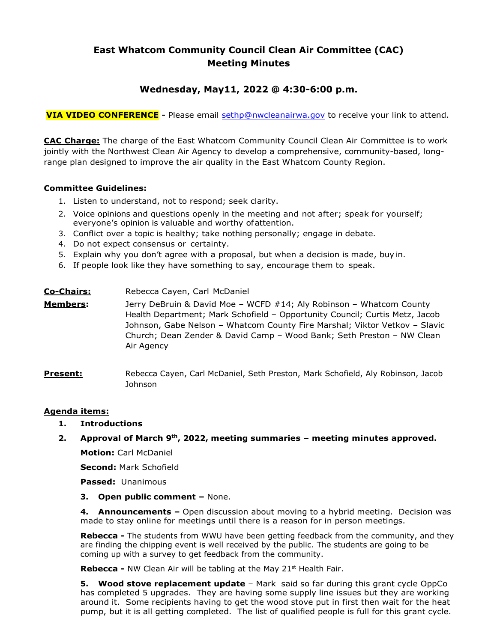# **East Whatcom Community Council Clean Air Committee (CAC) Meeting Minutes**

## **Wednesday, May11, 2022 @ 4:30-6:00 p.m.**

**VIA VIDEO CONFERENCE -** Please email [sethp@nwcleanairwa.gov](mailto:sethp@nwcleanairwa.gov) to receive your link to attend.

**CAC Charge:** The charge of the East Whatcom Community Council Clean Air Committee is to work jointly with the Northwest Clean Air Agency to develop a comprehensive, community-based, longrange plan designed to improve the air quality in the East Whatcom County Region.

## **Committee Guidelines:**

- 1. Listen to understand, not to respond; seek clarity.
- 2. Voice opinions and questions openly in the meeting and not after; speak for yourself; everyone's opinion is valuable and worthy ofattention.
- 3. Conflict over a topic is healthy; take nothing personally; engage in debate.
- 4. Do not expect consensus or certainty.
- 5. Explain why you don't agree with a proposal, but when a decision is made, buy in.
- 6. If people look like they have something to say, encourage them to speak.

| <u>Co-Chairs:</u> | Rebecca Cayen, Carl McDaniel                                                                                                                                                                                                                                                                                            |
|-------------------|-------------------------------------------------------------------------------------------------------------------------------------------------------------------------------------------------------------------------------------------------------------------------------------------------------------------------|
| <u> Members:</u>  | Jerry DeBruin & David Moe - WCFD #14; Aly Robinson - Whatcom County<br>Health Department; Mark Schofield - Opportunity Council; Curtis Metz, Jacob<br>Johnson, Gabe Nelson - Whatcom County Fire Marshal; Viktor Vetkov - Slavic<br>Church; Dean Zender & David Camp - Wood Bank; Seth Preston - NW Clean<br>Air Agency |

**Present:** Rebecca Cayen, Carl McDaniel, Seth Preston, Mark Schofield, Aly Robinson, Jacob Johnson

## **Agenda items:**

**1. Introductions**

#### **2. Approval of March 9th, 2022, meeting summaries – meeting minutes approved.**

**Motion:** Carl McDaniel

**Second:** Mark Schofield

**Passed:** Unanimous

#### **3. Open public comment –** None.

**4. Announcements –** Open discussion about moving to a hybrid meeting.Decision was made to stay online for meetings until there is a reason for in person meetings.

**Rebecca -** The students from WWU have been getting feedback from the community, and they are finding the chipping event is well received by the public. The students are going to be coming up with a survey to get feedback from the community.

**Rebecca -** NW Clean Air will be tabling at the May 21<sup>st</sup> Health Fair.

**5. Wood stove replacement update** – Mark said so far during this grant cycle OppCo has completed 5 upgrades. They are having some supply line issues but they are working around it. Some recipients having to get the wood stove put in first then wait for the heat pump, but it is all getting completed. The list of qualified people is full for this grant cycle.